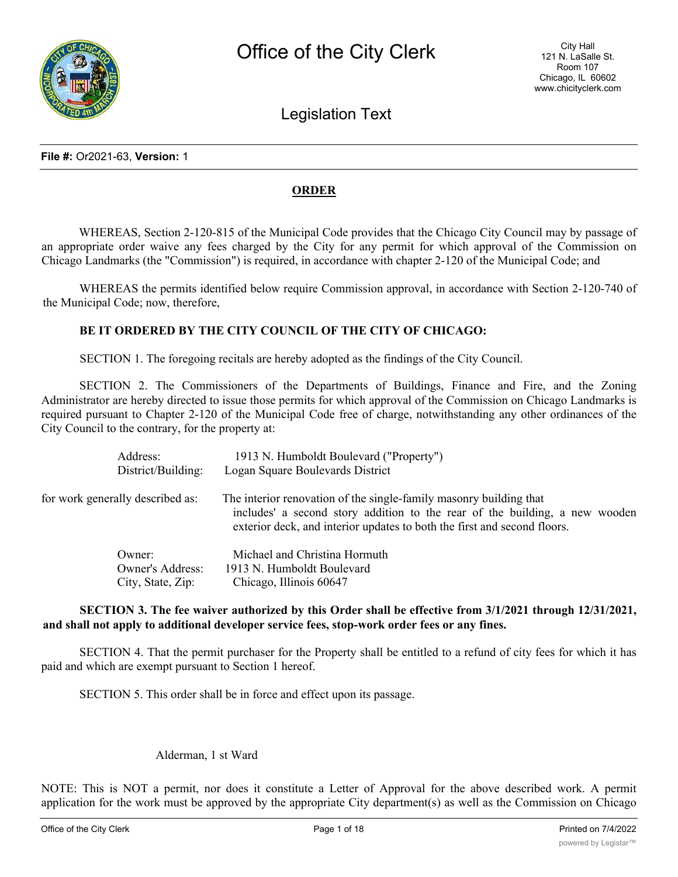

# Legislation Text

#### **File #:** Or2021-63, **Version:** 1

#### **ORDER**

WHEREAS, Section 2-120-815 of the Municipal Code provides that the Chicago City Council may by passage of an appropriate order waive any fees charged by the City for any permit for which approval of the Commission on Chicago Landmarks (the "Commission") is required, in accordance with chapter 2-120 of the Municipal Code; and

WHEREAS the permits identified below require Commission approval, in accordance with Section 2-120-740 of the Municipal Code; now, therefore,

#### **BE IT ORDERED BY THE CITY COUNCIL OF THE CITY OF CHICAGO:**

SECTION 1. The foregoing recitals are hereby adopted as the findings of the City Council.

SECTION 2. The Commissioners of the Departments of Buildings, Finance and Fire, and the Zoning Administrator are hereby directed to issue those permits for which approval of the Commission on Chicago Landmarks is required pursuant to Chapter 2-120 of the Municipal Code free of charge, notwithstanding any other ordinances of the City Council to the contrary, for the property at:

| Address:<br>District/Building:   | 1913 N. Humboldt Boulevard ("Property")<br>Logan Square Boulevards District                                                                                                                                                   |
|----------------------------------|-------------------------------------------------------------------------------------------------------------------------------------------------------------------------------------------------------------------------------|
| for work generally described as: | The interior renovation of the single-family masonry building that<br>includes' a second story addition to the rear of the building, a new wooden<br>exterior deck, and interior updates to both the first and second floors. |
| Owner:                           | Michael and Christina Hormuth                                                                                                                                                                                                 |
| <b>Owner's Address:</b>          | 1913 N. Humboldt Boulevard                                                                                                                                                                                                    |
| City, State, Zip:                | Chicago, Illinois 60647                                                                                                                                                                                                       |

#### **SECTION 3. The fee waiver authorized by this Order shall be effective from 3/1/2021 through 12/31/2021, and shall not apply to additional developer service fees, stop-work order fees or any fines.**

SECTION 4. That the permit purchaser for the Property shall be entitled to a refund of city fees for which it has paid and which are exempt pursuant to Section 1 hereof.

SECTION 5. This order shall be in force and effect upon its passage.

#### Alderman, 1 st Ward

NOTE: This is NOT a permit, nor does it constitute a Letter of Approval for the above described work. A permit application for the work must be approved by the appropriate City department(s) as well as the Commission on Chicago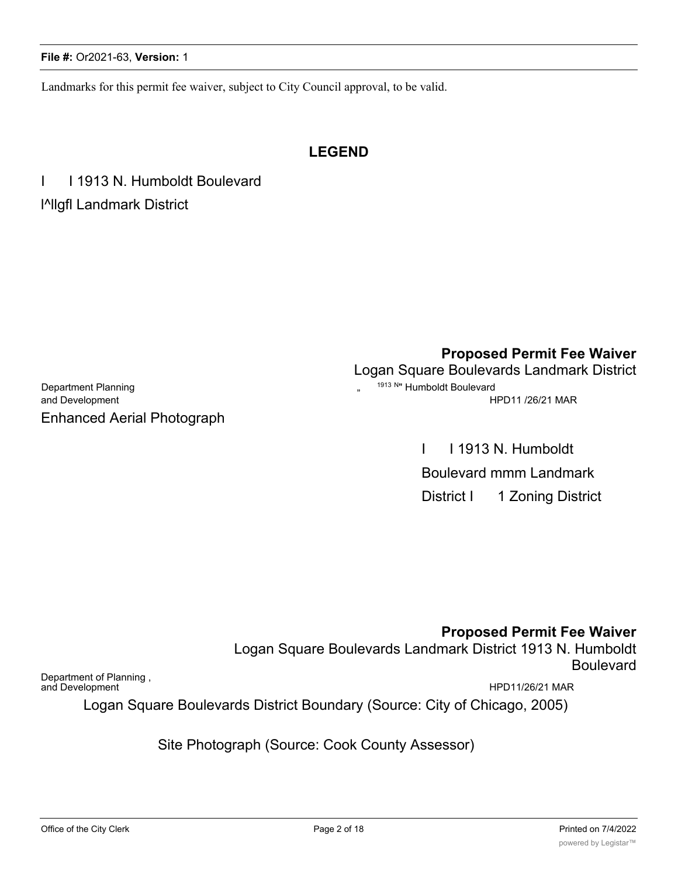#### **File #:** Or2021-63, **Version:** 1

Landmarks for this permit fee waiver, subject to City Council approval, to be valid.

# **LEGEND**

I I 1913 N. Humboldt Boulevard l^llgfl Landmark District

Department Planning **2008** Compared to the set of the set of the set of the set of the set of the set of the set of the set of the set of the set of the set of the set of the set of the set of the set of the set of the set and Development **HPD11** /26/21 MAR Enhanced Aerial Photograph

**Proposed Permit Fee Waiver** Logan Square Boulevards Landmark District

I I 1913 N. Humboldt Boulevard mmm Landmark District I 1 Zoning District

**Proposed Permit Fee Waiver**

Logan Square Boulevards Landmark District 1913 N. Humboldt Boulevard

Department of Planning , and Development Text of the Contract of the Contract of the Contract of the Contract of the Contract of the Contract of the Contract of the Contract of the Contract of the Contract of the Contract of the Contract of the Co

Logan Square Boulevards District Boundary (Source: City of Chicago, 2005)

Site Photograph (Source: Cook County Assessor)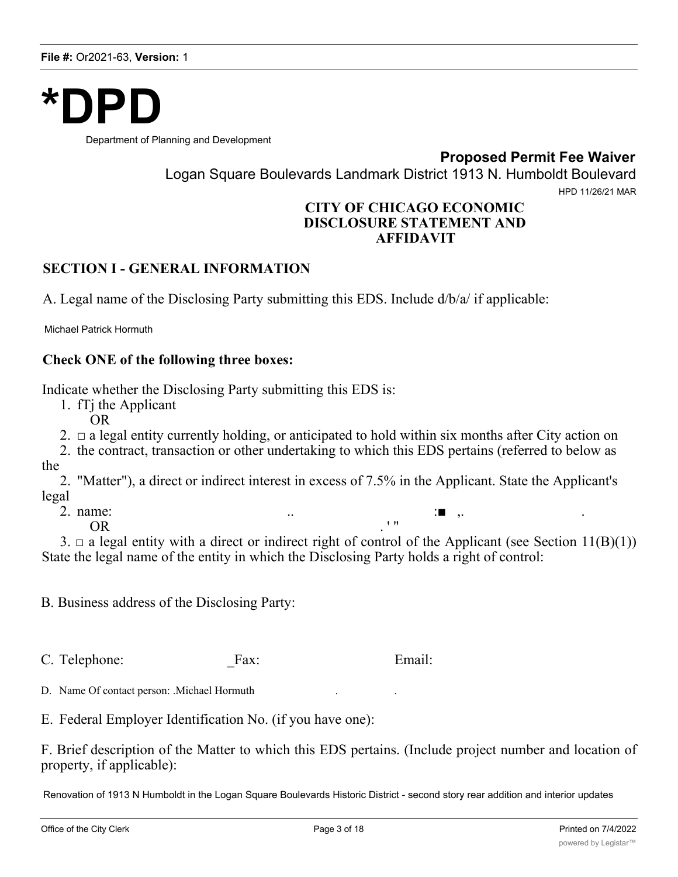

Department of Planning and Development

**Proposed Permit Fee Waiver**

Logan Square Boulevards Landmark District 1913 N. Humboldt Boulevard

HPD 11/26/21 MAR

# **CITY OF CHICAGO ECONOMIC DISCLOSURE STATEMENT AND AFFIDAVIT**

# **SECTION I - GENERAL INFORMATION**

A. Legal name of the Disclosing Party submitting this EDS. Include d/b/a/ if applicable:

Michael Patrick Hormuth

## **Check ONE of the following three boxes:**

Indicate whether the Disclosing Party submitting this EDS is:

1. fTj the Applicant

OR

2.  $\Box$  a legal entity currently holding, or anticipated to hold within six months after City action on

2. the contract, transaction or other undertaking to which this EDS pertains (referred to below as the

2. "Matter"), a direct or indirect interest in excess of 7.5% in the Applicant. State the Applicant's legal

2. name:  $\qquad \qquad \ldots$  .  $\qquad \qquad \vdots \qquad \qquad \ldots$ 

 $OR$   $\cdot$  "

3.  $\Box$  a legal entity with a direct or indirect right of control of the Applicant (see Section 11(B)(1)) State the legal name of the entity in which the Disclosing Party holds a right of control:

B. Business address of the Disclosing Party:

C. Telephone: Fax: Email:

D. Name Of contact person: .Michael Hormuth

E. Federal Employer Identification No. (if you have one):

F. Brief description of the Matter to which this EDS pertains. (Include project number and location of property, if applicable):

Renovation of 1913 N Humboldt in the Logan Square Boulevards Historic District - second story rear addition and interior updates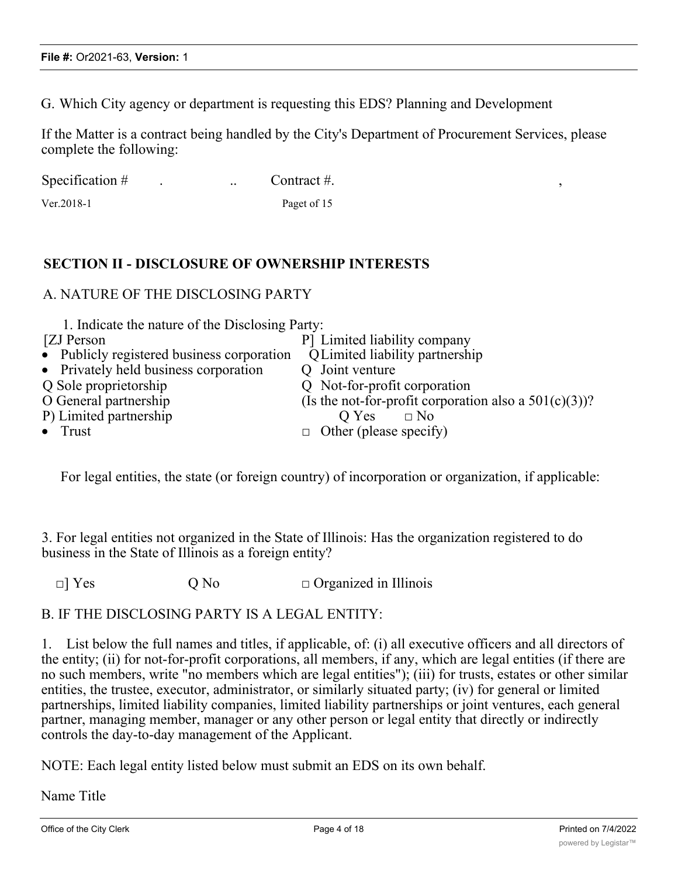G. Which City agency or department is requesting this EDS? Planning and Development

If the Matter is a contract being handled by the City's Department of Procurement Services, please complete the following:

| Specification $#$ |  | Contract #. |  |
|-------------------|--|-------------|--|
|                   |  |             |  |

Ver.2018-1 Paget of 15

# **SECTION II - DISCLOSURE OF OWNERSHIP INTERESTS**

### A. NATURE OF THE DISCLOSING PARTY

| 1. Indicate the nature of the Disclosing Party: |                                                          |
|-------------------------------------------------|----------------------------------------------------------|
| [ZJ Person]                                     | P Limited liability company                              |
| • Publicly registered business corporation      | Q Limited liability partnership                          |
| • Privately held business corporation           | Q Joint venture                                          |
| Q Sole proprietorship                           | Q Not-for-profit corporation                             |
| O General partnership                           | (Is the not-for-profit corporation also a $501(c)(3)$ )? |
| P) Limited partnership                          | Q Yes<br>$\Box$ No                                       |
| $\bullet$ Trust                                 | $\Box$ Other (please specify)                            |
|                                                 |                                                          |

For legal entities, the state (or foreign country) of incorporation or organization, if applicable:

3. For legal entities not organized in the State of Illinois: Has the organization registered to do business in the State of Illinois as a foreign entity?

 $\Box$  Yes  $Q$  No  $\Box$  Organized in Illinois

### B. IF THE DISCLOSING PARTY IS A LEGAL ENTITY:

1. List below the full names and titles, if applicable, of: (i) all executive officers and all directors of the entity; (ii) for not-for-profit corporations, all members, if any, which are legal entities (if there are no such members, write "no members which are legal entities"); (iii) for trusts, estates or other similar entities, the trustee, executor, administrator, or similarly situated party; (iv) for general or limited partnerships, limited liability companies, limited liability partnerships or joint ventures, each general partner, managing member, manager or any other person or legal entity that directly or indirectly controls the day-to-day management of the Applicant.

NOTE: Each legal entity listed below must submit an EDS on its own behalf.

Name Title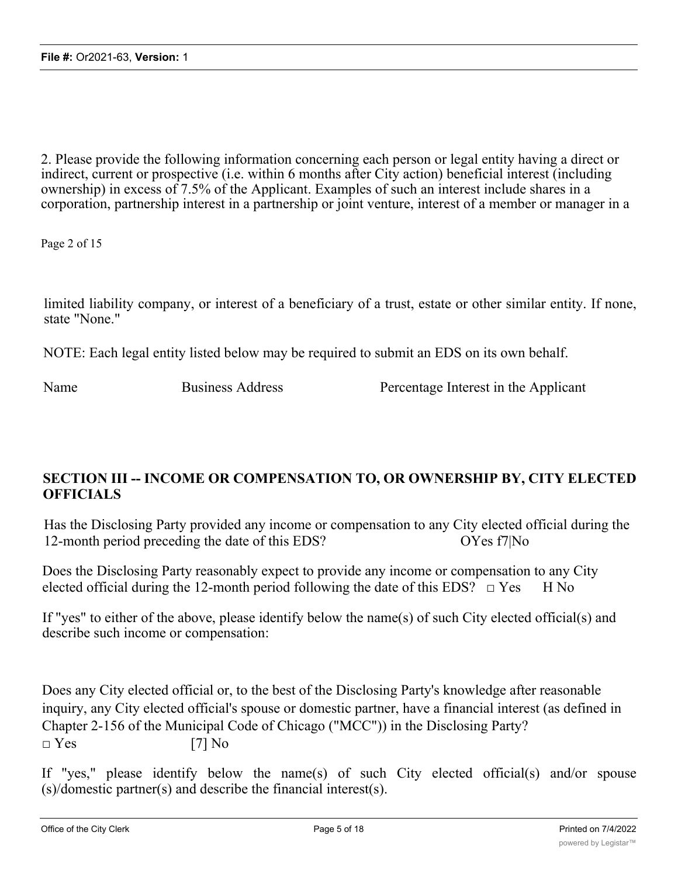2. Please provide the following information concerning each person or legal entity having a direct or indirect, current or prospective (i.e. within 6 months after City action) beneficial interest (including ownership) in excess of 7.5% of the Applicant. Examples of such an interest include shares in a corporation, partnership interest in a partnership or joint venture, interest of a member or manager in a

Page 2 of 15

limited liability company, or interest of a beneficiary of a trust, estate or other similar entity. If none, state "None."

NOTE: Each legal entity listed below may be required to submit an EDS on its own behalf.

Name Business Address **Percentage Interest** in the Applicant

# **SECTION III -- INCOME OR COMPENSATION TO, OR OWNERSHIP BY, CITY ELECTED OFFICIALS**

Has the Disclosing Party provided any income or compensation to any City elected official during the 12-month period preceding the date of this EDS? OYes f7|No

Does the Disclosing Party reasonably expect to provide any income or compensation to any City elected official during the 12-month period following the date of this EDS?  $\Box$  Yes H No

If "yes" to either of the above, please identify below the name(s) of such City elected official(s) and describe such income or compensation:

Does any City elected official or, to the best of the Disclosing Party's knowledge after reasonable inquiry, any City elected official's spouse or domestic partner, have a financial interest (as defined in Chapter 2-156 of the Municipal Code of Chicago ("MCC")) in the Disclosing Party?  $\square$  Yes [7] No

If "yes," please identify below the name(s) of such City elected official(s) and/or spouse (s)/domestic partner(s) and describe the financial interest(s).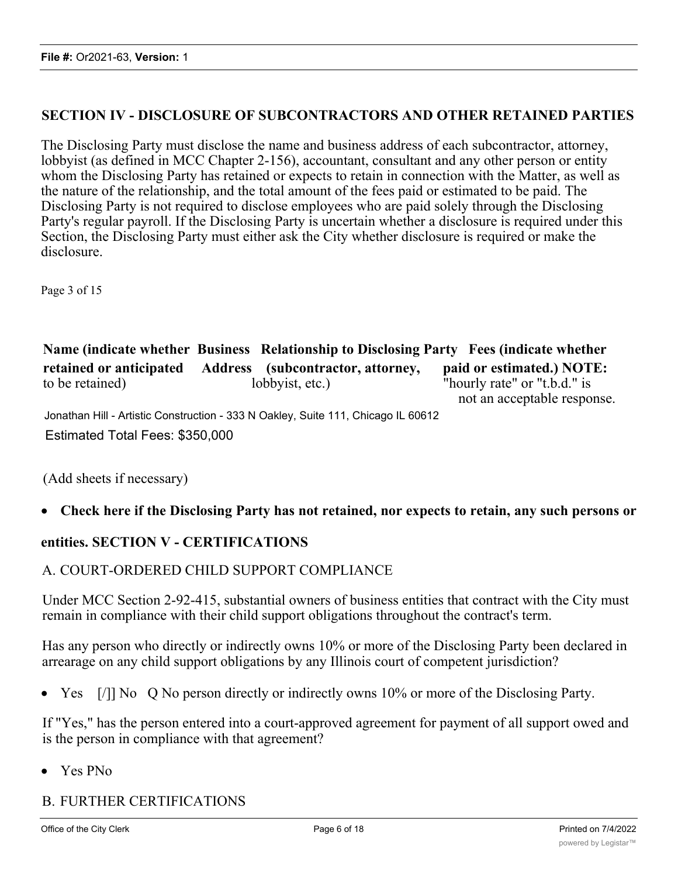# **SECTION IV - DISCLOSURE OF SUBCONTRACTORS AND OTHER RETAINED PARTIES**

The Disclosing Party must disclose the name and business address of each subcontractor, attorney, lobbyist (as defined in MCC Chapter 2-156), accountant, consultant and any other person or entity whom the Disclosing Party has retained or expects to retain in connection with the Matter, as well as the nature of the relationship, and the total amount of the fees paid or estimated to be paid. The Disclosing Party is not required to disclose employees who are paid solely through the Disclosing Party's regular payroll. If the Disclosing Party is uncertain whether a disclosure is required under this Section, the Disclosing Party must either ask the City whether disclosure is required or make the disclosure.

Page 3 of 15

|                                            | Name (indicate whether Business Relationship to Disclosing Party Fees (indicate whether |                                                                                          |
|--------------------------------------------|-----------------------------------------------------------------------------------------|------------------------------------------------------------------------------------------|
| retained or anticipated<br>to be retained) | Address (subcontractor, attorney,<br>lobbyist, etc.)                                    | paid or estimated.) NOTE:<br>"hourly rate" or "t.b.d." is<br>not an acceptable response. |
|                                            | Jonathan Hill - Artistic Construction - 333 N Oakley, Suite 111, Chicago IL 60612       |                                                                                          |
| Estimated Total Fees: \$350,000            |                                                                                         |                                                                                          |

(Add sheets if necessary)

# · **Check here if the Disclosing Party has not retained, nor expects to retain, any such persons or**

### **entities. SECTION V - CERTIFICATIONS**

### A. COURT-ORDERED CHILD SUPPORT COMPLIANCE

Under MCC Section 2-92-415, substantial owners of business entities that contract with the City must remain in compliance with their child support obligations throughout the contract's term.

Has any person who directly or indirectly owns 10% or more of the Disclosing Party been declared in arrearage on any child support obligations by any Illinois court of competent jurisdiction?

Yes [/]] No Q No person directly or indirectly owns 10% or more of the Disclosing Party.

If "Yes," has the person entered into a court-approved agreement for payment of all support owed and is the person in compliance with that agreement?

· Yes PNo

# B. FURTHER CERTIFICATIONS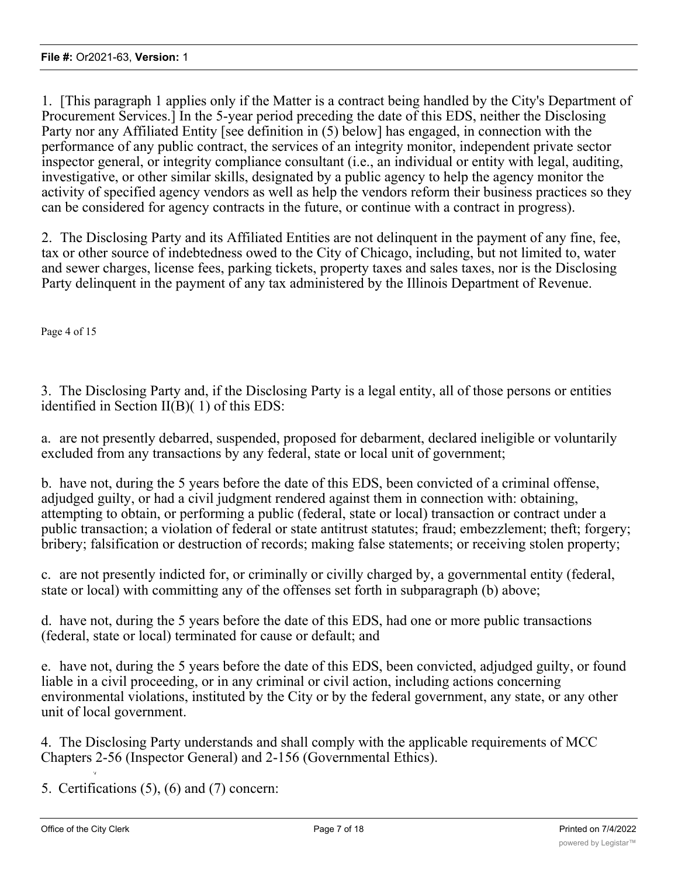1. [This paragraph 1 applies only if the Matter is a contract being handled by the City's Department of Procurement Services.] In the 5-year period preceding the date of this EDS, neither the Disclosing Party nor any Affiliated Entity [see definition in (5) below] has engaged, in connection with the performance of any public contract, the services of an integrity monitor, independent private sector inspector general, or integrity compliance consultant (i.e., an individual or entity with legal, auditing, investigative, or other similar skills, designated by a public agency to help the agency monitor the activity of specified agency vendors as well as help the vendors reform their business practices so they can be considered for agency contracts in the future, or continue with a contract in progress).

2. The Disclosing Party and its Affiliated Entities are not delinquent in the payment of any fine, fee, tax or other source of indebtedness owed to the City of Chicago, including, but not limited to, water and sewer charges, license fees, parking tickets, property taxes and sales taxes, nor is the Disclosing Party delinquent in the payment of any tax administered by the Illinois Department of Revenue.

Page 4 of 15

3. The Disclosing Party and, if the Disclosing Party is a legal entity, all of those persons or entities identified in Section II(B)( 1) of this EDS:

a. are not presently debarred, suspended, proposed for debarment, declared ineligible or voluntarily excluded from any transactions by any federal, state or local unit of government;

b. have not, during the 5 years before the date of this EDS, been convicted of a criminal offense, adjudged guilty, or had a civil judgment rendered against them in connection with: obtaining, attempting to obtain, or performing a public (federal, state or local) transaction or contract under a public transaction; a violation of federal or state antitrust statutes; fraud; embezzlement; theft; forgery; bribery; falsification or destruction of records; making false statements; or receiving stolen property;

c. are not presently indicted for, or criminally or civilly charged by, a governmental entity (federal, state or local) with committing any of the offenses set forth in subparagraph (b) above;

d. have not, during the 5 years before the date of this EDS, had one or more public transactions (federal, state or local) terminated for cause or default; and

e. have not, during the 5 years before the date of this EDS, been convicted, adjudged guilty, or found liable in a civil proceeding, or in any criminal or civil action, including actions concerning environmental violations, instituted by the City or by the federal government, any state, or any other unit of local government.

4. The Disclosing Party understands and shall comply with the applicable requirements of MCC Chapters 2-56 (Inspector General) and 2-156 (Governmental Ethics).

5. Certifications (5), (6) and (7) concern:

*'4*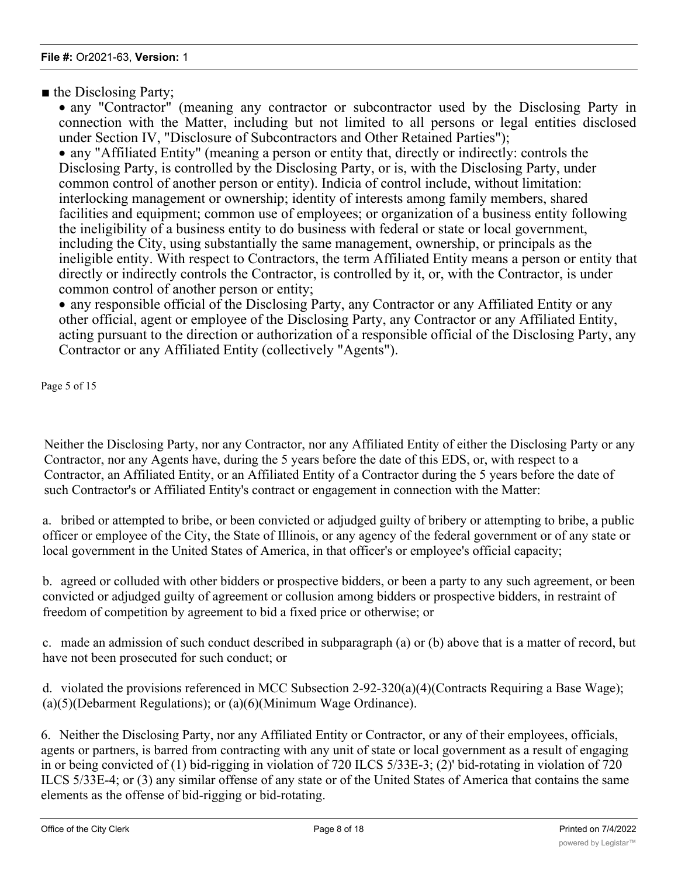■ the Disclosing Party;

· any "Contractor" (meaning any contractor or subcontractor used by the Disclosing Party in connection with the Matter, including but not limited to all persons or legal entities disclosed under Section IV, "Disclosure of Subcontractors and Other Retained Parties");

· any "Affiliated Entity" (meaning a person or entity that, directly or indirectly: controls the Disclosing Party, is controlled by the Disclosing Party, or is, with the Disclosing Party, under common control of another person or entity). Indicia of control include, without limitation: interlocking management or ownership; identity of interests among family members, shared facilities and equipment; common use of employees; or organization of a business entity following the ineligibility of a business entity to do business with federal or state or local government, including the City, using substantially the same management, ownership, or principals as the ineligible entity. With respect to Contractors, the term Affiliated Entity means a person or entity that directly or indirectly controls the Contractor, is controlled by it, or, with the Contractor, is under common control of another person or entity;

· any responsible official of the Disclosing Party, any Contractor or any Affiliated Entity or any other official, agent or employee of the Disclosing Party, any Contractor or any Affiliated Entity, acting pursuant to the direction or authorization of a responsible official of the Disclosing Party, any Contractor or any Affiliated Entity (collectively "Agents").

Page 5 of 15

Neither the Disclosing Party, nor any Contractor, nor any Affiliated Entity of either the Disclosing Party or any Contractor, nor any Agents have, during the 5 years before the date of this EDS, or, with respect to a Contractor, an Affiliated Entity, or an Affiliated Entity of a Contractor during the 5 years before the date of such Contractor's or Affiliated Entity's contract or engagement in connection with the Matter:

a. bribed or attempted to bribe, or been convicted or adjudged guilty of bribery or attempting to bribe, a public officer or employee of the City, the State of Illinois, or any agency of the federal government or of any state or local government in the United States of America, in that officer's or employee's official capacity;

b. agreed or colluded with other bidders or prospective bidders, or been a party to any such agreement, or been convicted or adjudged guilty of agreement or collusion among bidders or prospective bidders, in restraint of freedom of competition by agreement to bid a fixed price or otherwise; or

c. made an admission of such conduct described in subparagraph (a) or (b) above that is a matter of record, but have not been prosecuted for such conduct; or

d. violated the provisions referenced in MCC Subsection 2-92-320(a)(4)(Contracts Requiring a Base Wage); (a)(5)(Debarment Regulations); or (a)(6)(Minimum Wage Ordinance).

6. Neither the Disclosing Party, nor any Affiliated Entity or Contractor, or any of their employees, officials, agents or partners, is barred from contracting with any unit of state or local government as a result of engaging in or being convicted of (1) bid-rigging in violation of 720 ILCS 5/33E-3; (2)' bid-rotating in violation of 720 ILCS 5/33E-4; or (3) any similar offense of any state or of the United States of America that contains the same elements as the offense of bid-rigging or bid-rotating.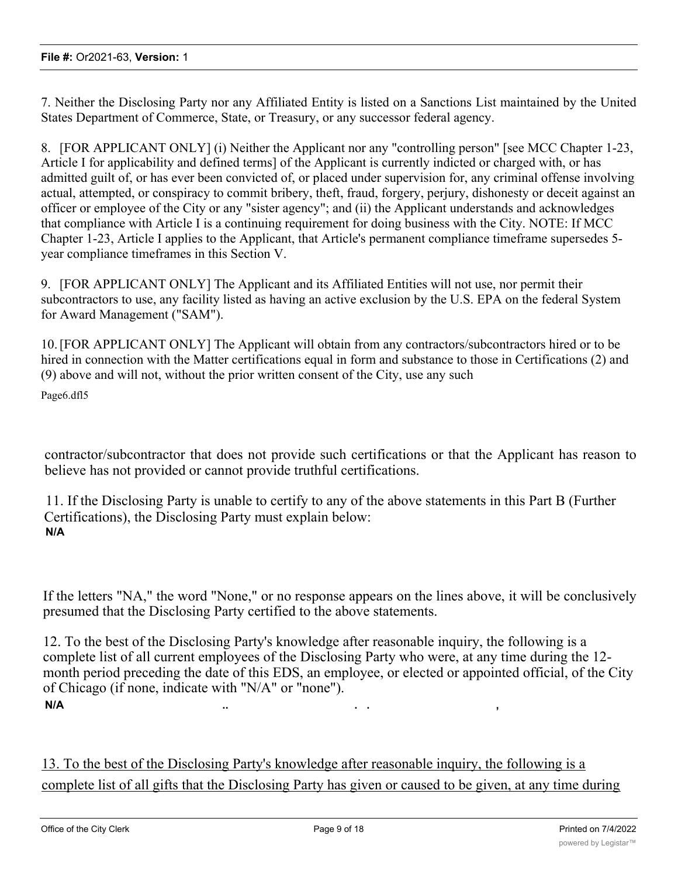7. Neither the Disclosing Party nor any Affiliated Entity is listed on a Sanctions List maintained by the United States Department of Commerce, State, or Treasury, or any successor federal agency.

8. [FOR APPLICANT ONLY] (i) Neither the Applicant nor any "controlling person" [see MCC Chapter 1-23, Article I for applicability and defined terms] of the Applicant is currently indicted or charged with, or has admitted guilt of, or has ever been convicted of, or placed under supervision for, any criminal offense involving actual, attempted, or conspiracy to commit bribery, theft, fraud, forgery, perjury, dishonesty or deceit against an officer or employee of the City or any "sister agency"; and (ii) the Applicant understands and acknowledges that compliance with Article I is a continuing requirement for doing business with the City. NOTE: If MCC Chapter 1-23, Article I applies to the Applicant, that Article's permanent compliance timeframe supersedes 5 year compliance timeframes in this Section V.

9. [FOR APPLICANT ONLY] The Applicant and its Affiliated Entities will not use, nor permit their subcontractors to use, any facility listed as having an active exclusion by the U.S. EPA on the federal System for Award Management ("SAM").

10.[FOR APPLICANT ONLY] The Applicant will obtain from any contractors/subcontractors hired or to be hired in connection with the Matter certifications equal in form and substance to those in Certifications (2) and (9) above and will not, without the prior written consent of the City, use any such

Page6.dfl5

contractor/subcontractor that does not provide such certifications or that the Applicant has reason to believe has not provided or cannot provide truthful certifications.

11. If the Disclosing Party is unable to certify to any of the above statements in this Part B (Further Certifications), the Disclosing Party must explain below: **N/A**

If the letters "NA," the word "None," or no response appears on the lines above, it will be conclusively presumed that the Disclosing Party certified to the above statements.

12. To the best of the Disclosing Party's knowledge after reasonable inquiry, the following is a complete list of all current employees of the Disclosing Party who were, at any time during the 12 month period preceding the date of this EDS, an employee, or elected or appointed official, of the City of Chicago (if none, indicate with "N/A" or "none"). **N/A .. . . ,**

13. To the best of the Disclosing Party's knowledge after reasonable inquiry, the following is a complete list of all gifts that the Disclosing Party has given or caused to be given, at any time during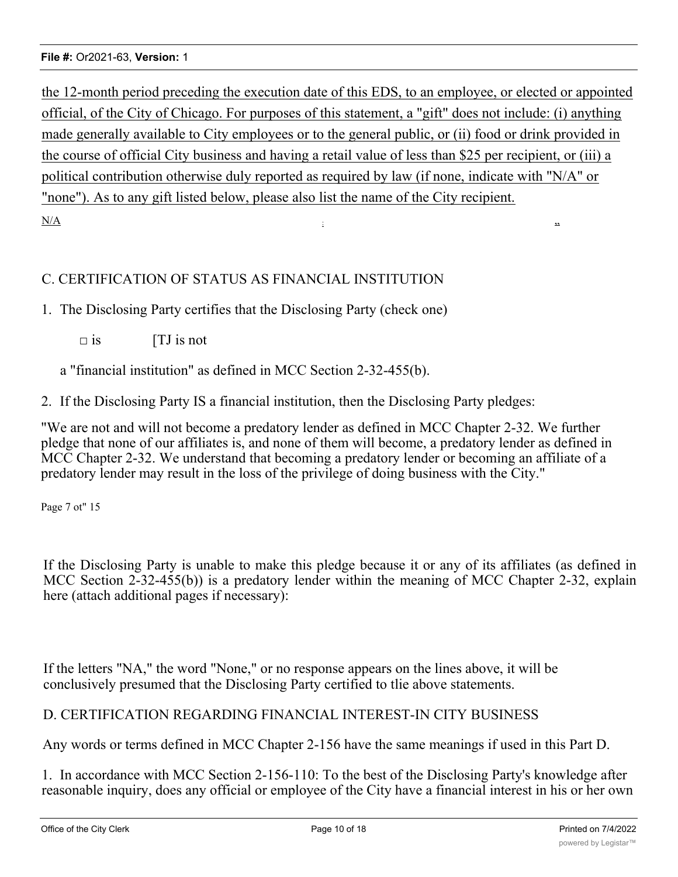the 12-month period preceding the execution date of this EDS, to an employee, or elected or appointed official, of the City of Chicago. For purposes of this statement, a "gift" does not include: (i) anything made generally available to City employees or to the general public, or (ii) food or drink provided in the course of official City business and having a retail value of less than \$25 per recipient, or (iii) a political contribution otherwise duly reported as required by law (if none, indicate with "N/A" or "none"). As to any gift listed below, please also list the name of the City recipient.  $N/A$  is a set of  $N$  is a set of  $N$  is a set of  $N$  is a set of  $N$  is a set of  $N$  is a set of  $N$  is a set of  $N$  is a set of  $N$  is a set of  $N$  is a set of  $N$  is a set of  $N$  is a set of  $N$  is a set of  $N$  is a set

# C. CERTIFICATION OF STATUS AS FINANCIAL INSTITUTION

1. The Disclosing Party certifies that the Disclosing Party (check one)

 $\square$  is  $[TJ \text{ is not}]$ 

a "financial institution" as defined in MCC Section 2-32-455(b).

2. If the Disclosing Party IS a financial institution, then the Disclosing Party pledges:

"We are not and will not become a predatory lender as defined in MCC Chapter 2-32. We further pledge that none of our affiliates is, and none of them will become, a predatory lender as defined in MCC Chapter 2-32. We understand that becoming a predatory lender or becoming an affiliate of a predatory lender may result in the loss of the privilege of doing business with the City."

Page 7 ot" 15

If the Disclosing Party is unable to make this pledge because it or any of its affiliates (as defined in MCC Section 2-32-455(b)) is a predatory lender within the meaning of MCC Chapter 2-32, explain here (attach additional pages if necessary):

If the letters "NA," the word "None," or no response appears on the lines above, it will be conclusively presumed that the Disclosing Party certified to tlie above statements.

# D. CERTIFICATION REGARDING FINANCIAL INTEREST-IN CITY BUSINESS

Any words or terms defined in MCC Chapter 2-156 have the same meanings if used in this Part D.

1. In accordance with MCC Section 2-156-110: To the best of the Disclosing Party's knowledge after reasonable inquiry, does any official or employee of the City have a financial interest in his or her own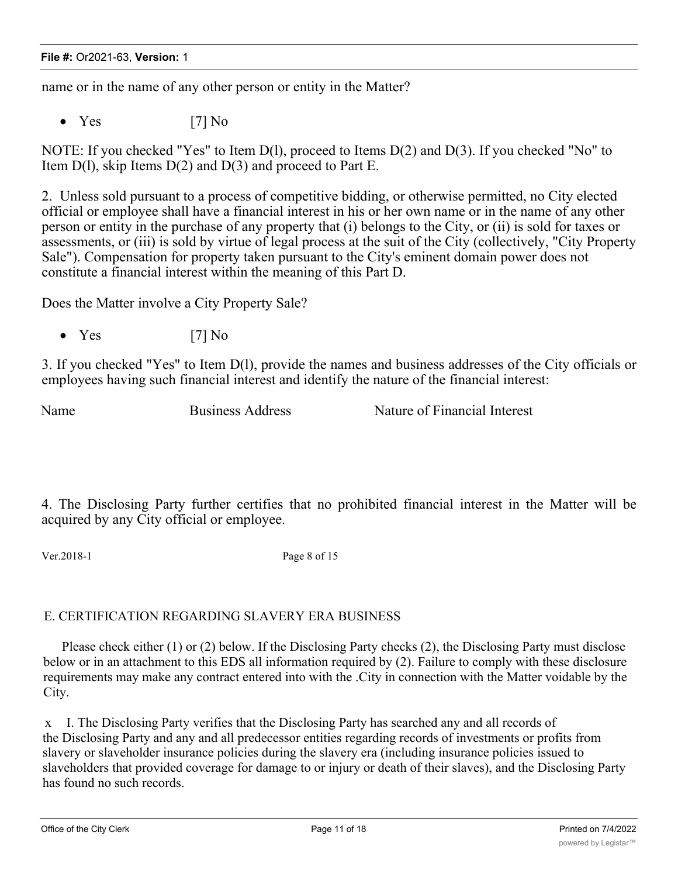name or in the name of any other person or entity in the Matter?

•  $Yes$  [7] No

NOTE: If you checked "Yes" to Item D(l), proceed to Items D(2) and D(3). If you checked "No" to Item  $D(1)$ , skip Items  $D(2)$  and  $D(3)$  and proceed to Part E.

2. Unless sold pursuant to a process of competitive bidding, or otherwise permitted, no City elected official or employee shall have a financial interest in his or her own name or in the name of any other person or entity in the purchase of any property that (i) belongs to the City, or (ii) is sold for taxes or assessments, or (iii) is sold by virtue of legal process at the suit of the City (collectively, "City Property Sale"). Compensation for property taken pursuant to the City's eminent domain power does not constitute a financial interest within the meaning of this Part D.

Does the Matter involve a City Property Sale?

•  $Yes$  [7] No

3. If you checked "Yes" to Item D(l), provide the names and business addresses of the City officials or employees having such financial interest and identify the nature of the financial interest:

Name Business Address Nature of Financial Interest

4. The Disclosing Party further certifies that no prohibited financial interest in the Matter will be acquired by any City official or employee.

Ver.2018-1 Page 8 of 15

### E. CERTIFICATION REGARDING SLAVERY ERA BUSINESS

Please check either (1) or (2) below. If the Disclosing Party checks (2), the Disclosing Party must disclose below or in an attachment to this EDS all information required by (2). Failure to comply with these disclosure requirements may make any contract entered into with the .City in connection with the Matter voidable by the City.

x I. The Disclosing Party verifies that the Disclosing Party has searched any and all records of the Disclosing Party and any and all predecessor entities regarding records of investments or profits from slavery or slaveholder insurance policies during the slavery era (including insurance policies issued to slaveholders that provided coverage for damage to or injury or death of their slaves), and the Disclosing Party has found no such records.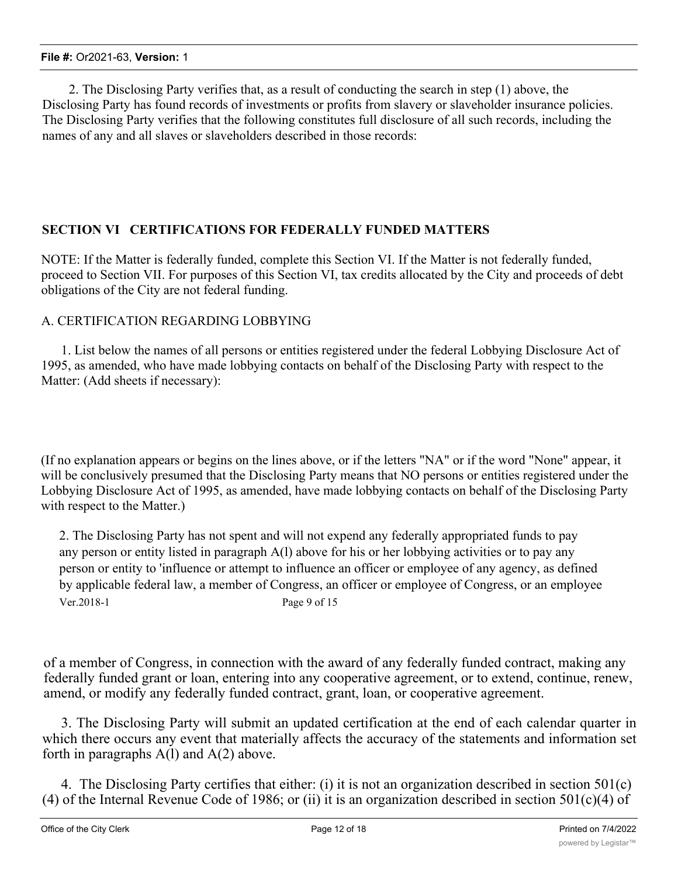2. The Disclosing Party verifies that, as a result of conducting the search in step (1) above, the Disclosing Party has found records of investments or profits from slavery or slaveholder insurance policies. The Disclosing Party verifies that the following constitutes full disclosure of all such records, including the names of any and all slaves or slaveholders described in those records:

# **SECTION VI CERTIFICATIONS FOR FEDERALLY FUNDED MATTERS**

NOTE: If the Matter is federally funded, complete this Section VI. If the Matter is not federally funded, proceed to Section VII. For purposes of this Section VI, tax credits allocated by the City and proceeds of debt obligations of the City are not federal funding.

### A. CERTIFICATION REGARDING LOBBYING

1. List below the names of all persons or entities registered under the federal Lobbying Disclosure Act of 1995, as amended, who have made lobbying contacts on behalf of the Disclosing Party with respect to the Matter: (Add sheets if necessary):

(If no explanation appears or begins on the lines above, or if the letters "NA" or if the word "None" appear, it will be conclusively presumed that the Disclosing Party means that NO persons or entities registered under the Lobbying Disclosure Act of 1995, as amended, have made lobbying contacts on behalf of the Disclosing Party with respect to the Matter.)

2. The Disclosing Party has not spent and will not expend any federally appropriated funds to pay any person or entity listed in paragraph A(l) above for his or her lobbying activities or to pay any person or entity to 'influence or attempt to influence an officer or employee of any agency, as defined by applicable federal law, a member of Congress, an officer or employee of Congress, or an employee Ver.2018-1 Page 9 of 15

of a member of Congress, in connection with the award of any federally funded contract, making any federally funded grant or loan, entering into any cooperative agreement, or to extend, continue, renew, amend, or modify any federally funded contract, grant, loan, or cooperative agreement.

3. The Disclosing Party will submit an updated certification at the end of each calendar quarter in which there occurs any event that materially affects the accuracy of the statements and information set forth in paragraphs  $A(1)$  and  $A(2)$  above.

4. The Disclosing Party certifies that either: (i) it is not an organization described in section 501(c) (4) of the Internal Revenue Code of 1986; or (ii) it is an organization described in section  $501(c)(4)$  of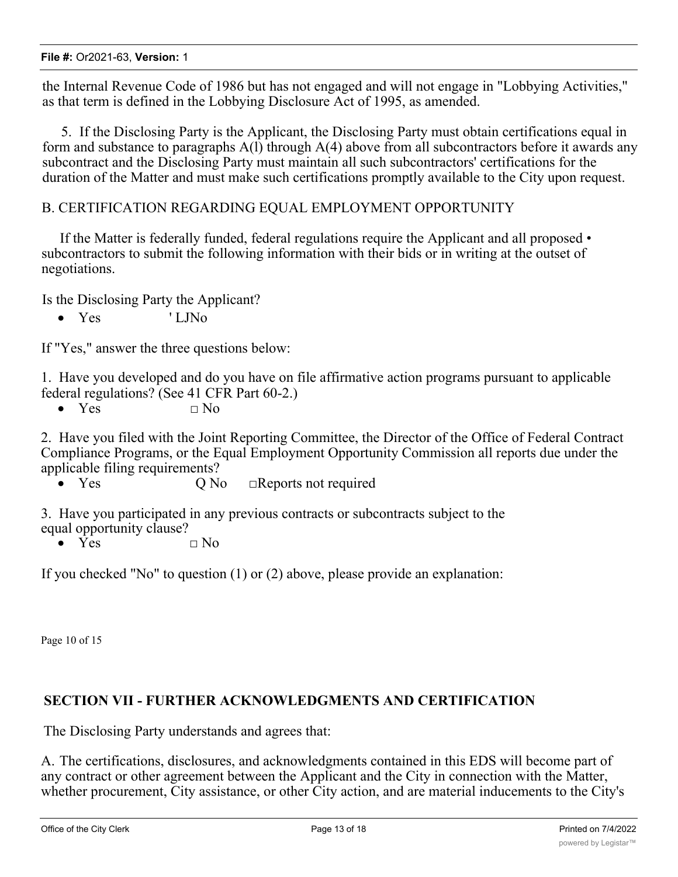the Internal Revenue Code of 1986 but has not engaged and will not engage in "Lobbying Activities," as that term is defined in the Lobbying Disclosure Act of 1995, as amended.

5. If the Disclosing Party is the Applicant, the Disclosing Party must obtain certifications equal in form and substance to paragraphs  $A(1)$  through  $A(4)$  above from all subcontractors before it awards any subcontract and the Disclosing Party must maintain all such subcontractors' certifications for the duration of the Matter and must make such certifications promptly available to the City upon request.

# B. CERTIFICATION REGARDING EQUAL EMPLOYMENT OPPORTUNITY

If the Matter is federally funded, federal regulations require the Applicant and all proposed • subcontractors to submit the following information with their bids or in writing at the outset of negotiations.

Is the Disclosing Party the Applicant?

• Yes ' LJNo

If "Yes," answer the three questions below:

1. Have you developed and do you have on file affirmative action programs pursuant to applicable federal regulations? (See 41 CFR Part 60-2.)

• Yes  $\Box$  No

2. Have you filed with the Joint Reporting Committee, the Director of the Office of Federal Contract Compliance Programs, or the Equal Employment Opportunity Commission all reports due under the applicable filing requirements?

• Yes Q No □Reports not required

3. Have you participated in any previous contracts or subcontracts subject to the equal opportunity clause?

•  $\tilde{Y}$ es  $\Box$  No

If you checked "No" to question (1) or (2) above, please provide an explanation:

Page 10 of 15

# **SECTION VII - FURTHER ACKNOWLEDGMENTS AND CERTIFICATION**

The Disclosing Party understands and agrees that:

A. The certifications, disclosures, and acknowledgments contained in this EDS will become part of any contract or other agreement between the Applicant and the City in connection with the Matter, whether procurement, City assistance, or other City action, and are material inducements to the City's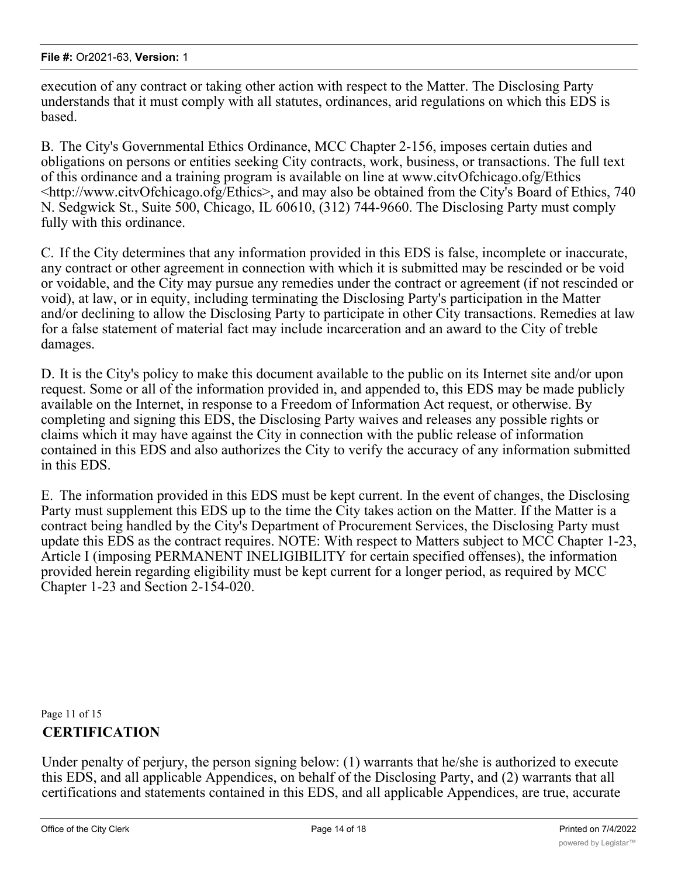execution of any contract or taking other action with respect to the Matter. The Disclosing Party understands that it must comply with all statutes, ordinances, arid regulations on which this EDS is based.

B. The City's Governmental Ethics Ordinance, MCC Chapter 2-156, imposes certain duties and obligations on persons or entities seeking City contracts, work, business, or transactions. The full text of this ordinance and a training program is available on line at www.citvOfchicago.ofg/Ethics <http://www.citvOfchicago.ofg/Ethics>, and may also be obtained from the City's Board of Ethics, 740 N. Sedgwick St., Suite 500, Chicago, IL 60610, (312) 744-9660. The Disclosing Party must comply fully with this ordinance.

C. If the City determines that any information provided in this EDS is false, incomplete or inaccurate, any contract or other agreement in connection with which it is submitted may be rescinded or be void or voidable, and the City may pursue any remedies under the contract or agreement (if not rescinded or void), at law, or in equity, including terminating the Disclosing Party's participation in the Matter and/or declining to allow the Disclosing Party to participate in other City transactions. Remedies at law for a false statement of material fact may include incarceration and an award to the City of treble damages.

D. It is the City's policy to make this document available to the public on its Internet site and/or upon request. Some or all of the information provided in, and appended to, this EDS may be made publicly available on the Internet, in response to a Freedom of Information Act request, or otherwise. By completing and signing this EDS, the Disclosing Party waives and releases any possible rights or claims which it may have against the City in connection with the public release of information contained in this EDS and also authorizes the City to verify the accuracy of any information submitted in this EDS.

E. The information provided in this EDS must be kept current. In the event of changes, the Disclosing Party must supplement this EDS up to the time the City takes action on the Matter. If the Matter is a contract being handled by the City's Department of Procurement Services, the Disclosing Party must update this EDS as the contract requires. NOTE: With respect to Matters subject to MCC Chapter 1-23, Article I (imposing PERMANENT INELIGIBILITY for certain specified offenses), the information provided herein regarding eligibility must be kept current for a longer period, as required by MCC Chapter 1-23 and Section 2-154-020.

Page 11 of 15 **CERTIFICATION**

Under penalty of perjury, the person signing below: (1) warrants that he/she is authorized to execute this EDS, and all applicable Appendices, on behalf of the Disclosing Party, and (2) warrants that all certifications and statements contained in this EDS, and all applicable Appendices, are true, accurate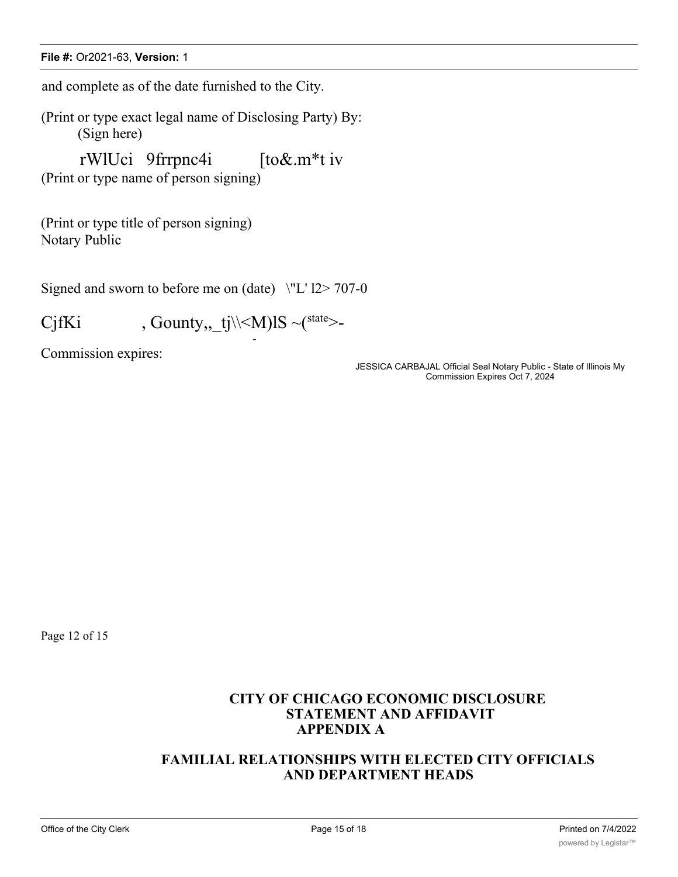#### **File #:** Or2021-63, **Version:** 1

and complete as of the date furnished to the City.

(Print or type exact legal name of Disclosing Party) By: (Sign here)

rWlUci 9frrpnc4i [to&.m\*t iv (Print or type name of person signing)

(Print or type title of person signing) Notary Public

Signed and sworn to before me on (date)  $\Upsilon$ 'L' l2> 707-0

-

CjfKi , Gounty, \_tj\\<M)lS ~( $\text{state}$  >-

Commission expires:

JESSICA CARBAJAL Official Seal Notary Public - State of Illinois My Commission Expires Oct 7, 2024

Page 12 of 15

# **CITY OF CHICAGO ECONOMIC DISCLOSURE STATEMENT AND AFFIDAVIT APPENDIX A**

# **FAMILIAL RELATIONSHIPS WITH ELECTED CITY OFFICIALS AND DEPARTMENT HEADS**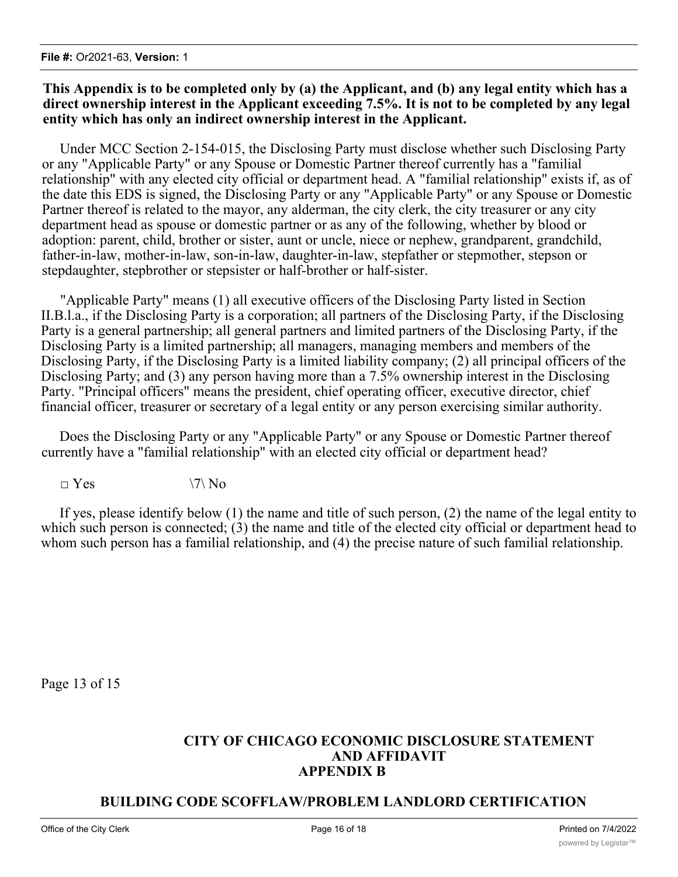## **This Appendix is to be completed only by (a) the Applicant, and (b) any legal entity which has a direct ownership interest in the Applicant exceeding 7.5%. It is not to be completed by any legal entity which has only an indirect ownership interest in the Applicant.**

Under MCC Section 2-154-015, the Disclosing Party must disclose whether such Disclosing Party or any "Applicable Party" or any Spouse or Domestic Partner thereof currently has a "familial relationship" with any elected city official or department head. A "familial relationship" exists if, as of the date this EDS is signed, the Disclosing Party or any "Applicable Party" or any Spouse or Domestic Partner thereof is related to the mayor, any alderman, the city clerk, the city treasurer or any city department head as spouse or domestic partner or as any of the following, whether by blood or adoption: parent, child, brother or sister, aunt or uncle, niece or nephew, grandparent, grandchild, father-in-law, mother-in-law, son-in-law, daughter-in-law, stepfather or stepmother, stepson or stepdaughter, stepbrother or stepsister or half-brother or half-sister.

"Applicable Party" means (1) all executive officers of the Disclosing Party listed in Section II.B.l.a., if the Disclosing Party is a corporation; all partners of the Disclosing Party, if the Disclosing Party is a general partnership; all general partners and limited partners of the Disclosing Party, if the Disclosing Party is a limited partnership; all managers, managing members and members of the Disclosing Party, if the Disclosing Party is a limited liability company; (2) all principal officers of the Disclosing Party; and (3) any person having more than a 7.5% ownership interest in the Disclosing Party. "Principal officers" means the president, chief operating officer, executive director, chief financial officer, treasurer or secretary of a legal entity or any person exercising similar authority.

Does the Disclosing Party or any "Applicable Party" or any Spouse or Domestic Partner thereof currently have a "familial relationship" with an elected city official or department head?

 $\neg$  Yes  $\qquad \qquad \qquad$   $\qquad \qquad$   $\qquad \qquad$   $\qquad \qquad$   $\qquad \qquad$   $\qquad \qquad$   $\qquad \qquad$   $\qquad \qquad$   $\qquad \qquad$   $\qquad \qquad$   $\qquad \qquad$   $\qquad \qquad$   $\qquad \qquad$   $\qquad \qquad$   $\qquad \qquad$   $\qquad \qquad$   $\qquad \qquad$   $\qquad \qquad$   $\qquad$   $\qquad \qquad$   $\qquad$   $\qquad \qquad$   $\qquad \qquad$   $\qquad \qquad$ 

If yes, please identify below (1) the name and title of such person, (2) the name of the legal entity to which such person is connected; (3) the name and title of the elected city official or department head to whom such person has a familial relationship, and (4) the precise nature of such familial relationship.

Page 13 of 15

# **CITY OF CHICAGO ECONOMIC DISCLOSURE STATEMENT AND AFFIDAVIT APPENDIX B**

# **BUILDING CODE SCOFFLAW/PROBLEM LANDLORD CERTIFICATION**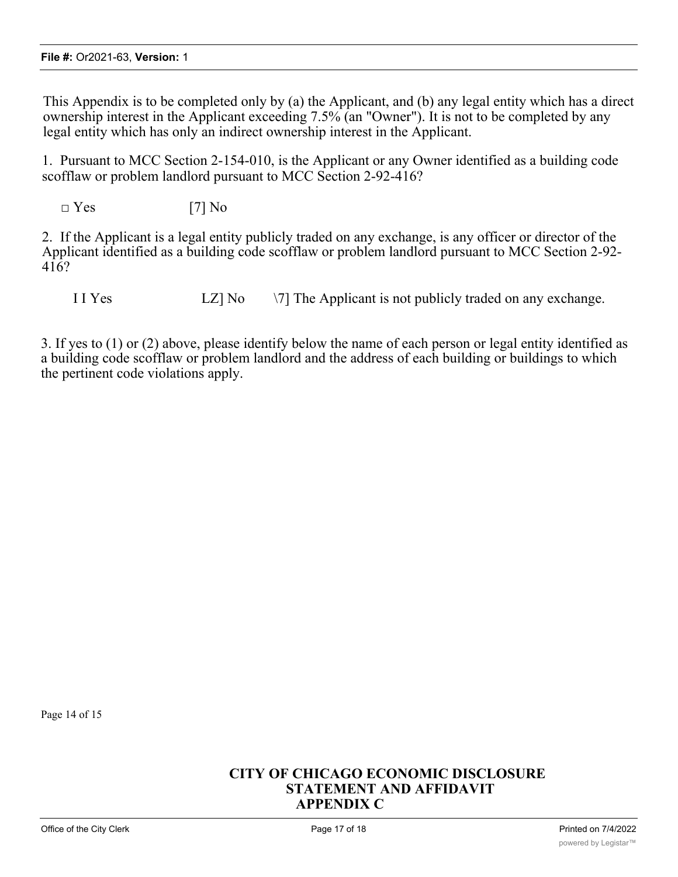This Appendix is to be completed only by (a) the Applicant, and (b) any legal entity which has a direct ownership interest in the Applicant exceeding 7.5% (an "Owner"). It is not to be completed by any legal entity which has only an indirect ownership interest in the Applicant.

1. Pursuant to MCC Section 2-154-010, is the Applicant or any Owner identified as a building code scofflaw or problem landlord pursuant to MCC Section 2-92-416?

 $\square$  Yes [7] No

2. If the Applicant is a legal entity publicly traded on any exchange, is any officer or director of the Applicant identified as a building code scofflaw or problem landlord pursuant to MCC Section 2-92- 416?

I I Yes  $LZ$ ] No  $\sqrt{7}$  The Applicant is not publicly traded on any exchange.

3. If yes to (1) or (2) above, please identify below the name of each person or legal entity identified as a building code scofflaw or problem landlord and the address of each building or buildings to which the pertinent code violations apply.

Page 14 of 15

# **CITY OF CHICAGO ECONOMIC DISCLOSURE STATEMENT AND AFFIDAVIT APPENDIX C**